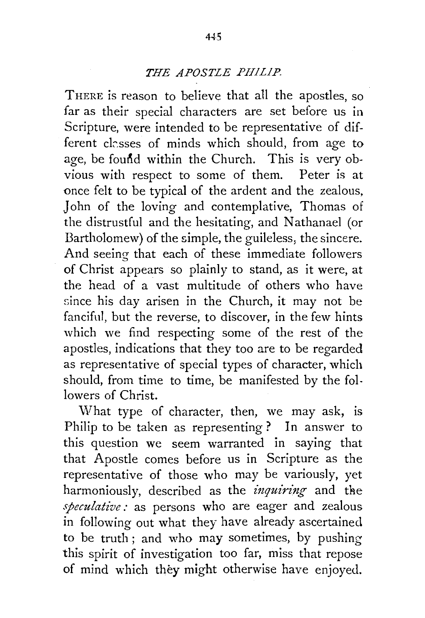## *THE APOSTLE PHILIP.*

THERE is reason to believe that all the apostles, so far as their special characters are set before us in Scripture, were intended to be representative of different classes of minds which should, from age to age, be found within the Church. This is very obvious with respect to some of them. Peter is at once felt to be typical of the ardent and the zealous, John of the loving and contemplative, Thomas of the distrustful and the hesitating, and Nathanael (or Bartholomew) of the simple, the guileless, the sincere. And seeing that each of these immediate followers of Christ appears so plainly to stand, as it were, at the head of a vast multitude of others who have since his day arisen in the Church, it may not be fanciful, but the reverse, to discover, in the few hints which we find respecting some of the rest of the apostles, indications that they too are to be regarded as representative of special types of character, which should, from time to time, be manifested by the followers of Christ.

What type of character, then, we may ask, is Philip to be taken as representing? In answer to this question we seem warranted in saying that that Apostle comes before us in Scripture as the representative of those who may be variously, yet harmoniously, described as the *inquiring* and the *speculative :* as persons who are eager and zealous in following out what they have already ascertained to be truth; and who may sometimes, by pushing this spirit of investigation too far, miss that repose of mind which they might otherwise have enjoyed.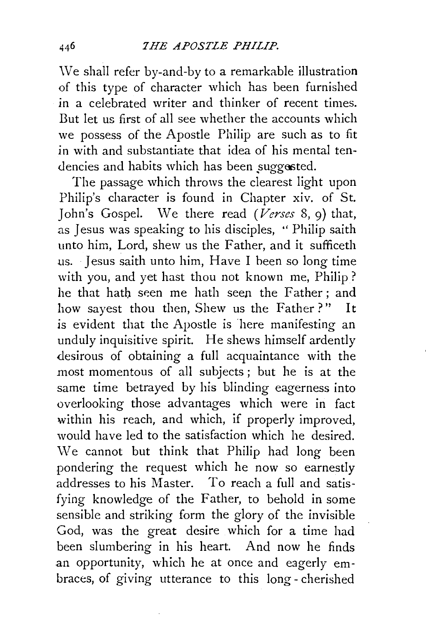\Ve shall refer by-and-by to a remarkable illustration of this type of character which has been furnished in a celebrated writer and thinker of recent times. But let us first of all see whether the accounts which we possess of the Apostle Philip are such as to fit in with and substantiate that idea of his mental tendencies and habits which has been suggested.

The passage which throws the clearest light upon Philip's character is found in Chapter xiv. of St. John's Gospel. We there read *(Verses* 8, 9) that, as Jesus was speaking to his disciples, '' Philip saith unto him, Lord, shew us the Father, and it sufficeth us. Jesus saith unto him, Have I heen so long time with you, and yet hast thou not known me, Philip? he that hath seen me hath seen the Father; and how sayest thou then, Shew us the Father?" It is evident that the Apostle is here manifesting an unduly inquisitive spirit. He shews himself ardently desirous of obtaining a full acquaintance with the most momentous of all subjects ; but he is at the same time betrayed by his blinding eagerness into overlooking those advantages which were in fact within his reach, and which, if properly improved, would have led to the satisfaction which he desired. We cannot but think that Philip had long been pondering the request which he now so earnestly addresses to his Master. To reach a full and satisfying knowledge of the Father, to behold in some sensible and striking form the glory of the invisible God, was the great desire which for a time had been slumbering in his heart. And now he finds an opportunity, which he at once and eagerly embraces, of giving utterance to this long- cherished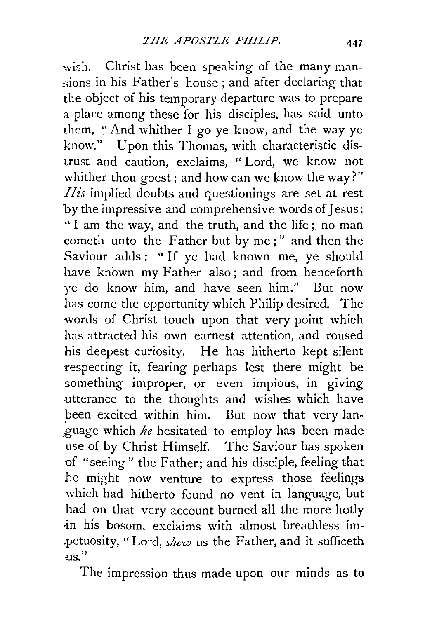wish. Christ has been speaking of the many mansions in his Father's house ; and after declaring that the object of his temporary departure was to prepare a place among these for his disciples, has said unto them, "And whither I go ye know, and the way ye know." Upon this Thomas, with characteristic distrust and caution, exclaims, " Lord, we know not whither thou goest; and how can we know the way?" *His* implied doubts and questionings are set at rest by the impressive and comprehensive words of Jesus: '' I am the way, and the truth, and the life ; no man cometh unto the Father but by me;" and then the Saviour adds: "If ye had known me, ye should have known my Father also; and from henceforth ye do know him, and have seen him." But now has come the opportunity which Philip desired. The words of Christ touch upon that very point which has attracted his own earnest attention, and roused his deepest curiosity. He has hitherto kept silent respecting it, fearing perhaps lest there might be something improper, or even impious, in giving :utterance to the thoughts and wishes which have been excited within him. But now that very lan- .guage which *he* hesitated to employ has been made use of by Christ Himself. The Saviour has spoken of "seeing" the Father; and his disciple, feeling that he might now venture to express those feelings which had hitherto found no vent in language, but had on that very account burned all the more hotly in his bosom, exclaims with almost breathless im-.petuosity, "Lord, *sluw* us the Father, and it sufficeth  $\overline{u}$ .

The impression thus made upon our minds as to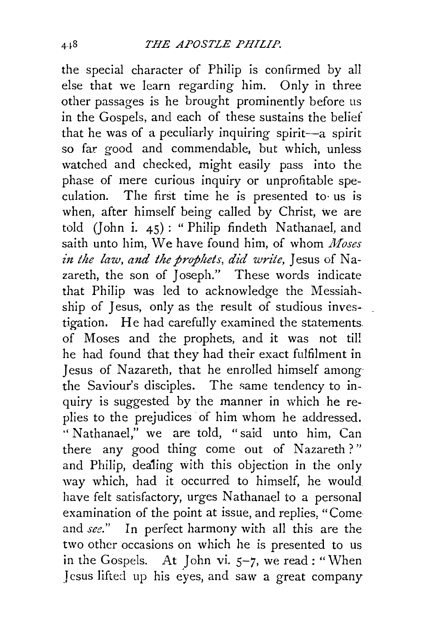the special character of Philip is confirmed by all else that we learn regarding him. Only in three other passages is he brought prominently before us in the Gospels, and each of these sustains the belief that he was of a peculiarly inquiring spirit-a spirit so far. good and commendable, but which, unless watched and checked, might easily pass into the phase of mere curious inquiry or unprofitable speculation. The first time he is presented to· us is when, after himself being called by Christ, we are told (John i. 45): "Philip findeth Nathanael, and saith unto him, We have found him, of whom *Moses in the law, and the prophets, did write, Jesus of Na*zareth, the son of Joseph." These words indicate that Philip was led to acknowledge the Messiahship of Jesus, only as the result of studious investigation. He had carefully examined the statements of Moses and the prophets, and it was not till he had found that they had their exact fulfilment in Jesus of Nazareth, that he enrolled himself amongthe Saviour's disciples. The same tendency to inquiry is suggested by the manner in which he replies to the prejudices of him whom he addressed. "Nathanael," we are told, "said unto him, Can' there any good thing come out of Nazareth ? " and Philip, dealing with this objection in the only way which, had it occurred to himself, he would have felt satisfactory, urges Nathanael to a personal examination of the point at issue, and replies, "Come and *see."* In perfect harmony with a11 this are the two other occasions on which he is presented to us in the Gospels. At John vi. 5-7, we read : "When Jesus lifted up his eyes, and saw a great company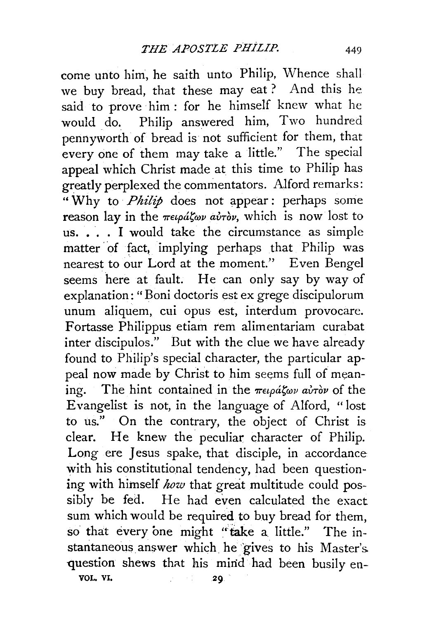come unto him, he saith unto Philip, Whence shall we buy bread, that these may eat ? And this he said to prove him: for he himself knew what he would do. Philip answered him, Two hundred pennyworth of bread is not sufficient for them, that every one of them may take a little." The special appeal which Christ made at this time to Philip has greatly perplexed the commentators. Alford remarks: "Why to *Philip* does not appear: perhaps some reason lay in the πειράζων αὐτὸν, which is now lost to us. • . . I would take the circumstance as simple matter of fact, implying perhaps that Philip was nearest to our Lord at the moment.'' Even Bengel seems here at fault. He can only say by way of explanation: "Boni doctoris est ex grege discipulorum unum aliquem, cui opus est, interdum provocare. Fortasse Philippus etiam rem alimentariam curabat inter discipulos." But with the clue we have already found to Philip's special character, the particular appeal now made by Christ to him seems full of meaning. The hint contained in the  $\pi \epsilon_4 \rho d \zeta_{\omega} \rho d \tau_{\omega}$  of the Evangelist is not, in the language of Alford, "lost to us." On the contrary, the object of Christ is clear. He knew the peculiar character of Philip. Long ere Jesus spake, that disciple, in accordance with his constitutional tendency, had been questioning with himself *how* that great multitude could possibly be fed. He had even calculated the exact sum which would be required to buy bread for them, so that every one might "take a little." The instantaneous answer which he gives to his Master's. question shews that his mind had been busily en-VOL. VI, 29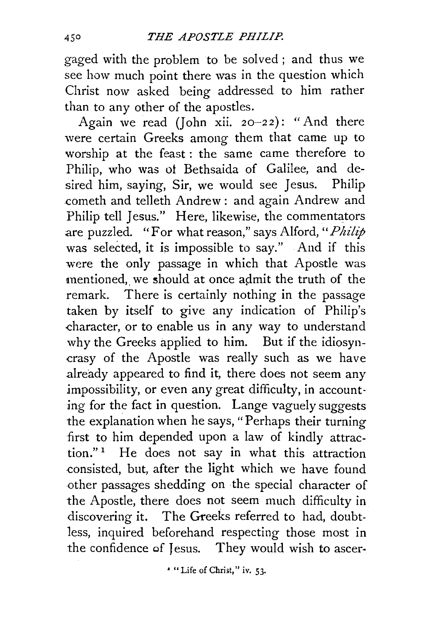gaged with the problem to be solved; and thus we see how much point there was in the question which Christ now asked being addressed to him rather than to any other of the apostles.

Again we read *(John xii. 20-22)*: "And there were certain Greeks among them that came up to worship at the feast : the same came therefore to Philip, who was ot Bethsaida of Galilee, and desired him, saying, Sir, we would see Jesus. Philip cometh and telleth Andrew : and again Andrew and Philip tell Jesus." Here, likewise, the commentators are puzzled. "For what reason," says Alford, *"Philip*  was selected, it is impossible to say." And if this were the only passage in which that Apostle was mentioned, we should at once admit the truth of the remark. There is certainly nothing in the passage taken by itself to give any indication of Philip's character, or to enable us in any way to understand why the Greeks applied to him. But if the idiosyncrasy of the Apostle was really such as we have already appeared to find it, there does not seem any impossibility, or even any great difficulty, in accounting for the fact in question. Lange vaguely suggests the explanation when he says, "Perhaps their turning first to him depended upon a law of kindly attraction." 1 He does not say in what this attraction consisted, but, after the light which we have found other passages shedding on ·the special character of the Apostle, there does not seem much difficulty in discovering it. The Greeks referred to had, doubtless, inquired beforehand respecting those most in the confidence of Jesus. They would wish to ascer-

• "Life of Christ," iv. 53·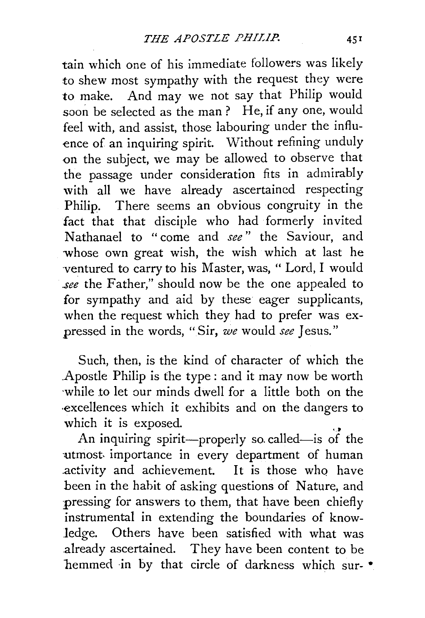tain which one of his immediate followers was likely to shew most sympathy with the request they were to make. And may we not say that Philip would soon be selected as the man ? He, if any one, would feel with, and assist, those labouring under the influence of an inquiring spirit. Without refining unduly on the subject, we may be allowed to observe that the passage under consideration fits in admirably with all we have already ascertained respecting Philip. There seems an obvious congruity in the fact that that disciple who had formerly invited Nathanael to "come and *see"* the Saviour, and whose own great wish, the wish which at last he ventured to carry to his Master, was, "Lord, I would *.see* the Father," should now be the one appealed to for sympathy and aid by these eager supplicants, when the request which they had to prefer was expressed in the words, "Sir, *we* would *see* Jesus."

Such, then, is the kind of character of which the .Apostle Philip is the type : and it may now be worth ·while to let our minds dwell for a little both on the ·excellences which it exhibits and on the dangers to

which it is exposed.<br>An inquiring spirit---properly so called-is of the -utmost- importance in every department of human activity and achievement. It is those who have been in the habit of asking questions of Nature, and pressing for answers to them, that have been chiefly instrumental in extending the boundaries of know*ledge.* Others have been satisfied with what was .already ascertained. They have been content to be hemmed in by that circle of darkness which sur- $*$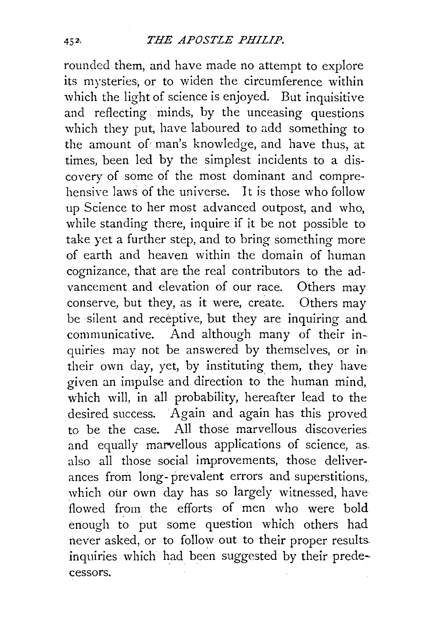rounded them, and have made no attempt to explore its mysteries; or to widen the circumference within which the light of science is enjoyed. But inquisitive and reflecting minds, by the unceasing questions which they put, have laboured to add something to the amount of man's knowledge, and have thus, at times, been led by the simplest incidents to a discovery of some of the most dominant and comprehensive laws of the universe. It is those who follow up Science to her most advanced outpost, and who, while standing there, inquire if it be not possible to take yet a further step, and to bring something more of earth and heaven within the domain of human cognizance, that are the real contributors to the advancement and elevation of our race. Others may conserve, but they, as it were, create. Others may be silent and receptive, but they are inquiring and communicative. And although many of their inquiries may not be answered by themselves, or in, their own day, yet, by instituting. them, they have given an impulse and direction to the human mind, which will, in all probability, hereafter lead to the desired success. Again and again has this proved to be the case. All those marvellous discoveries and equally marvellous applications of science, as. also all those social improvements, those deliverances from long- prevalent errors and superstitions, which our own day has so largely witnessed, have flowed from the efforts of men who were bold enough to put some question which others had never asked, or to follow out to their proper results inquiries which had been suggested by their predecessors.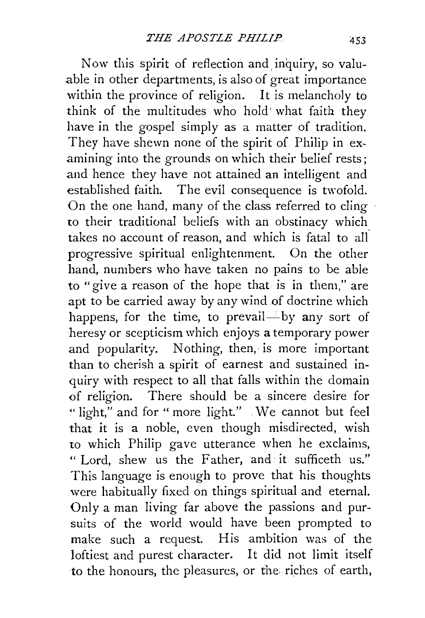Now this spirit of reflection and. inquiry, so valuable in other departments, is also of great importance within the province of religion. It is melancholy to think of the multitudes who hold· what faith they have in the gospel simply as a matter of tradition. They have shewn none of the spirit of Philip in examining into the grounds on which their belief rests; and hence they have not attained an intelligent and established faith. The evil consequence is twofold. On the one hand, many of the class referred to cling *w* their traditional beliefs with an obstinacy which takes no account of reason, and which is fatal to all progressive spiritual enlightenment. On the other hand, numbers who have taken no pains to be able to "give a reason of the hope that is in them," are apt to be carried away by any wind of doctrine which happens, for the time, to prevail—by any sort of heresy or scepticism which enjoys a temporary power and popularity. Nothing, then, is more important than to cherish a spirit of earnest and sustained inquiry with respect to all that falls within the domain of religion. There should be a sincere desire for "light," and for "more light." We cannot but feel that it is a noble, even though misdirected, wish to which Philip gave utterance when he exclaims, " Lord, shew us the Father, and it sufficeth us." This language is enough to prove that his thoughts were habitually fixed on things spiritual and eternal. Only a man living far above the passions and pursuits of the world would have been prompted to make such a request. His ambition was of the loftiest and purest character. It did not limit itself to the honours, the pleasures, or the riches of earth,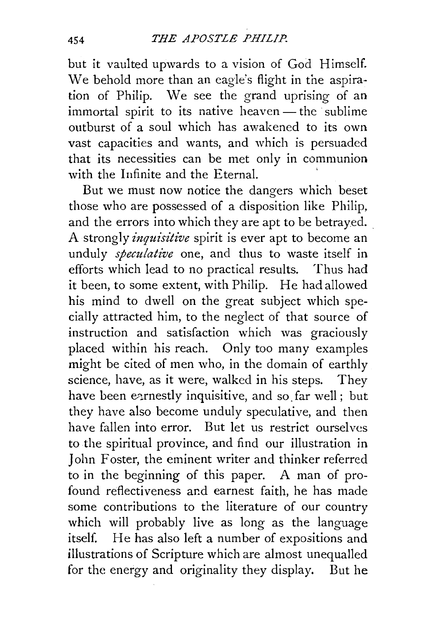but it vaulted upwards to a vision of God Himself. We behold more than an eagle's flight in the aspiration of Philip. We see the grand uprising of an immortal spirit to its native heaven — the sublime outburst of a soul which has awakened to its own vast capacities and wants, and which is persuaded that its necessities can be met only in communion with the Infinite and the Eternal.

But we must now notice the dangers which beset those who are possessed of a disposition like Philip, and the errors into which they are apt to be betrayed. A strongly *inquisitive* spirit is ever apt to become an unduly *speculative* one, and thus to waste itself in efforts which lead to no practical results. Thus had it been, to some extent, with Philip. He had allowed his mind to dwell on the great subject which specially attracted him, to the neglect of that source of instruction and satisfaction which was graciously placed within his reach. Only too many examples might be cited of men who, in the domain of earthly science, have, as it were, walked in his steps. They have been earnestly inquisitive, and so far well; but they have also become unduly speculative, and then have fallen into error. But let us restrict ourselves to the spiritual province, and find our illustration in John Foster, the eminent writer and thinker referred to in the beginning of this paper. A man of profound reflectiveness and earnest faith, he has made some contributions to the literature of our country which will probably live as long as the language itself. He has also left a number of expositions and illustrations of Scripture which are almost unequalled for the energy and originality they display. But he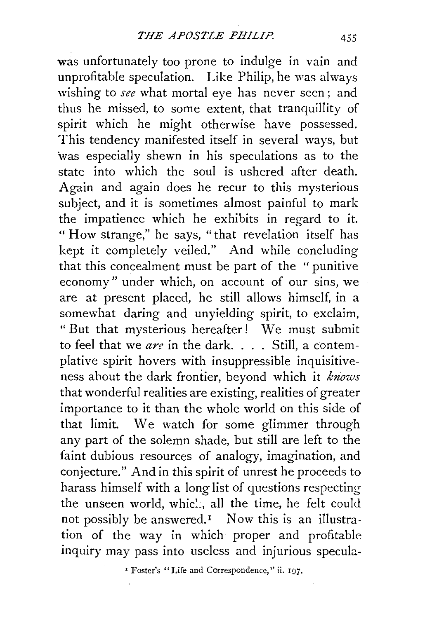was unfortunately too prone to indulge in vain and unprofitable speculation. Like Philip, he was always wishing to *see* what mortal eye has never seen; and thus he missed, to some extent, that tranquillity of spirit which he might otherwise have possessed. This tendency manifested itself in several ways, but 'was especially shewn in his speculations as to the state into which the soul is ushered after death. Again and again does he recur to this mysterious subject, and it is sometimes almost painful to mark the impatience which he exhibits in regard to it. " How strange," he says, "that revelation itself has kept it completely veiled." And while concluding that this concealment must be part of the " punitive economy" under which, on account of our sins, we are at present placed, he still allows himself, in a somewhat daring and unyielding spirit, to exclaim, "But that mysterious hereafter! We must submit to feel that we *are* in the dark. ... Still, a contemplative spirit hovers with insuppressible inquisitiveness about the dark frontier, beyond which it *knows*  that wonderful realities are existing, realities of greater importance to it than the whole world on this side of that limit. We watch for some glimmer through any part of the solemn shade, but still are left to the faint dubious resources of analogy, imagination, and conjecture." And in this spirit of unrest he proceeds to harass himself with a long list of questions respecting the unseen world, whic... all the time, he felt could not possibly be answered.<sup> $I$ </sup> Now this is an illustration of the way in which proper and profitable inquiry may pass into useless and injurious specula-

<sup>I</sup> Foster's "Life and Correspondence," ii. 197.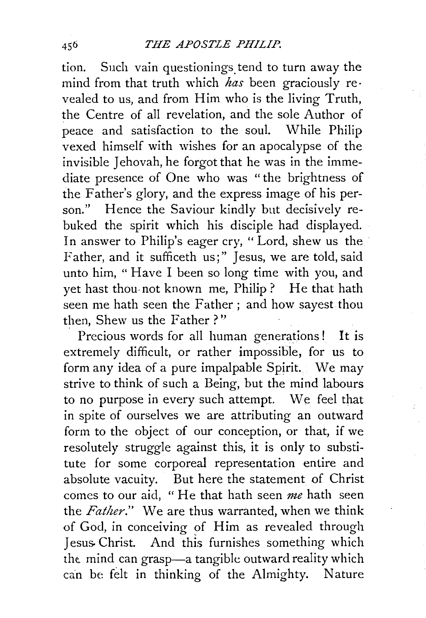tion. Such vain questionings tend to turn away the mind from that truth which *has* been graciously re· vealed to us, and from Him who is the living Truth, the Centre of all revelation, and the sole Author of peace and satisfaction to the soul. While Philip vexed himself with wishes for an apocalypse of the invisible Jehovah, he forgot that he was in the immediate presence of One who was "the brightness of the Father's glory, and the express image of his person." Hence the Saviour kindly but decisively rebuked the spirit which his disciple had displayed. In answer to Philip's eager cry, "Lord, shew us the Father, and it sufficeth us;" Jesus, we are told, said unto him, " Have I been so long time with you, and yet hast thou- not known me, Philip ? He that hath seen me hath seen the Father; and how sayest thou then, Shew us the Father?"

Precious words for all human generations! It is extremely difficult, or rather impossible, for us to form any idea of a pure impalpable Spirit. We may strive to think of such a Being, but the mind labours to no purpose in every such attempt. We feel that in spite of ourselves we are attributing an outward form to the object of our conception, or that, if we resolutely struggle against this, it is only to substitute for some corporeal representation entire and absolute vacuity. But here the statement of Christ comes to our aid, "He that hath seen *me* hath seen the *Father."* We are thus warranted, when we think of God, in conceiving of Him as revealed through Jesus Christ. And this furnishes something which the mind can grasp-a tangible outward reality which can be felt in thinking of the Almighty. Nature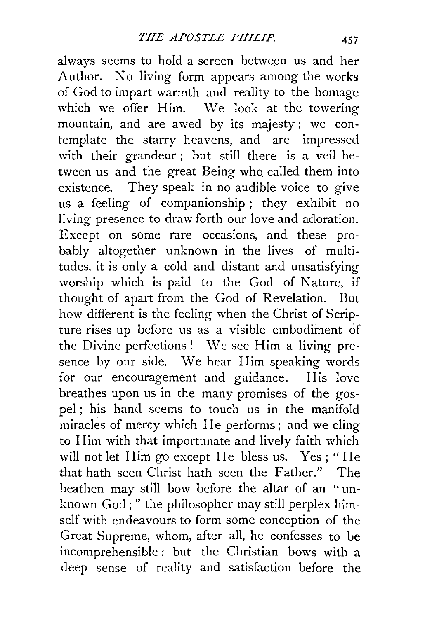always seems to hold a screen between us and her Author. No living form appears among the works of God to impart warmth and reality to the homage which we offer Him. We look at the towering mountain, and are awed by its majesty ; we contemplate the starry heavens, and are impressed with their grandeur; but still there is a veil between us and the great Being who called them into existence. They speak in no audible voice to give us a feeling of companionship ; they exhibit no living presence to draw forth our love and adoration. Except on some rare occasions, and these probably altogether unknown in the lives of multitudes, it is only a cold and distant and unsatisfying worship which is paid to the God of Nature, if thought of apart from the God of Revelation. But how different is the feeling when the Christ of Scripture rises up before us as a visible embodiment of the Divine perfections! We see Him a living presence by our side. We hear Him speaking words for our encouragement and guidance. His love breathes upon us in the many promises of the gospel ; his hand seems to touch us in the manifold miracles of mercy which He performs; and we cling to Him with that importunate and lively faith which will not let Him go except He bless us. Yes; "He that hath seen Christ hath seen the Father." The heathen may still bow before the altar of an "unknown God;" the philosopher may still perplex himself with endeavours to form some conception of the Great Supreme, whom, after all, he confesses to be incomprehensible: but the Christian bows with a deep sense of reality and satisfaction before the